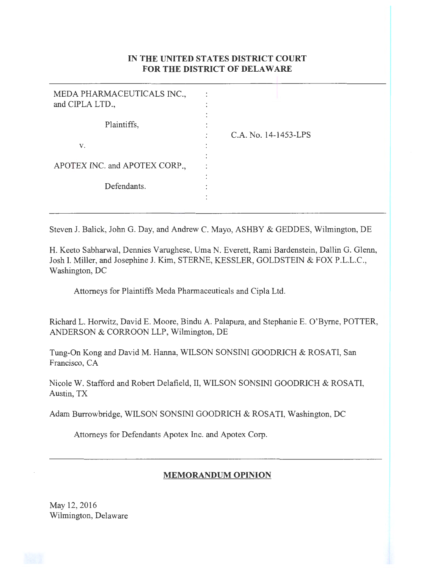# IN **THE UNITED STATES DISTRICT COURT FOR THE DISTRICT OF DELAWARE**

| MEDA PHARMACEUTICALS INC.,<br>and CIPLA LTD., |                      |
|-----------------------------------------------|----------------------|
| Plaintiffs,                                   | C.A. No. 14-1453-LPS |
| V.                                            |                      |
| APOTEX INC. and APOTEX CORP.,                 |                      |
| Defendants.                                   |                      |
|                                               |                      |

Steven J. Balick, John G. Day, and Andrew C. Mayo, ASHBY & GEDDES, Wilmington, DE

H. Keeto Sabharwal, Dennies Varughese, Uma N. Everett, Rami Bardenstein, Dallin G. Glenn, Josh I. Miller, and Josephine J. Kim, STERNE, KESSLER, GOLDSTEIN & FOX P.L.L.C., Washington, DC

Attorneys for Plaintiffs Meda Pharmaceuticals and Cipla Ltd.

Richard L. Horwitz, David E. Moore, Bindu A. Palapura, and Stephanie E. O'Byrne, POTTER, ANDERSON & CORROON LLP, Wilmington, DE

Tung-On Kong and David M. Hanna, WILSON SONSINI GOODRICH & ROSATI, San Francisco, CA

Nicole W. Stafford and Robert Delafield, II, WILSON SONSINI GOODRICH & ROSATI, Austin, TX

Adam Burrowbridge, WILSON SONSINI GOODRICH & ROSATI, Washington, DC

Attorneys for Defendants Apotex Inc. and Apotex Corp.

## **MEMORANDUM OPINION**

May 12, 2016 Wilmington, Delaware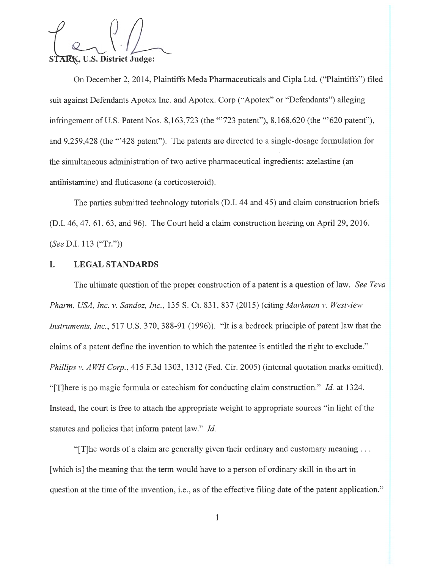STARK, U.S. District Judge:

On December 2, 2014, Plaintiffs Meda Pharmaceuticals and Cipla Ltd. ("Plaintiffs") filed suit against Defendants Apotex Inc. and Apotex. Corp ("Apotex" or "Defendants") alleging infringement of U.S. Patent Nos. 8,163,723 (the "'723 patent"), 8,168,620 (the '"620 patent"), and 9,259,428 (the '"428 patent"). The patents are directed to a single-dosage formulation for the simultaneous administration of two active pharmaceutical ingredients: azelastine (an antihistamine) and fluticasone (a corticosteroid).

The parties submitted technology tutorials (D.I. 44 and 45) and claim construction briefs (D.I. 46, 47, 61, 63, and 96). The Court held a claim construction hearing on April 29, 2016. *(See* D.I. 113 ("Tr."))

#### **I. LEGAL STANDARDS**

The ultimate question of the proper construction of a patent is a question of law. *See Teva Pharm. USA, Inc. v. Sandoz, Inc., 135 S. Ct. 831, 837 (2015) (citing Markman v. Westview Instruments, Inc. ,* 517 U.S. 370, 388-91 (1996)). "It is a bedrock principle of patent law that the claims of a patent define the invention to which the patentee is entitled the right to exclude." *Phillips v. AWH Corp.*, 415 F.3d 1303, 1312 (Fed. Cir. 2005) (internal quotation marks omitted). "[T]here is no magic formula or catechism for conducting claim construction." *Id.* at 1324. Instead, the court is free to attach the appropriate weight to appropriate sources "in light of the statutes and policies that inform patent law." *Id.* 

" [T] The words of a claim are generally given their ordinary and customary meaning  $\ldots$ [which is] the meaning that the term would have to a person of ordinary skill in the art in question at the time of the invention, i.e., as of the effective filing date of the patent application."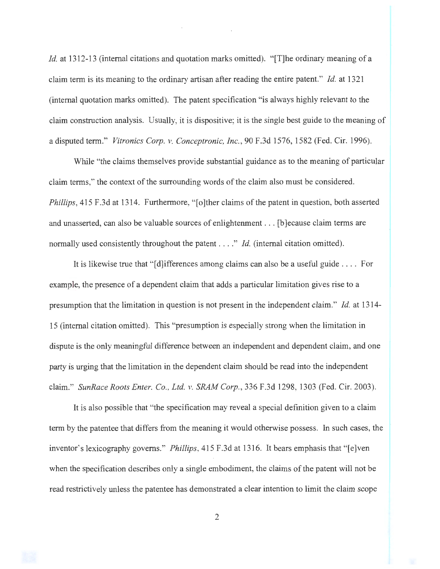*Id.* at 1312-13 (internal citations and quotation marks omitted). "[T]he ordinary meaning of a claim term is its meaning to the ordinary artisan after reading the entire patent." *Id.* at 1321 (internal quotation marks omitted). The patent specification "is always highly relevant to the claim construction analysis. Usually, it is dispositive; it is the single best guide to the meaning of a disputed term." *Vitronics Corp. v. Conceptronic, Inc. ,* 90 F.3d 1576, 1582 (Fed. Cir. 1996).

While "the claims themselves provide substantial guidance as to the meaning of particular claim terms," the context of the surrounding words of the claim also must be considered. *Phillips,* 415 F.3d at 1314. Furthermore, "[o]ther claims of the patent in question, both asserted and unasserted, can also be valuable sources of enlightenment ... [b ]ecause claim terms are normally used consistently throughout the patent . . . ." *Id.* (internal citation omitted).

It is likewise true that "[d]ifferences among claims can also be a useful guide .... For example, the presence of a dependent claim that adds a particular limitation gives rise to a presumption that the limitation in question is not present in the independent claim." *Id.* at 1314- 15 (internal citation omitted). This "presumption is especially strong when the limitation in dispute is the only meaningful difference between an independent and dependent claim, and one party is urging that the limitation in the dependent claim should be read into the independent claim." *SunRace Roots Enter. Co. , Ltd. v. SRAM Corp. ,* 336 F.3d 1298, 1303 (Fed. Cir. 2003).

It is also possible that "the specification may reveal a special definition given to a claim term by the patentee that differs from the meaning it would otherwise possess. In such cases, the inventor's lexicography governs." *Phillips*, 415 F.3d at 1316. It bears emphasis that "[e]ven when the specification describes only a single embodiment, the claims of the patent will not be read restrictively unless the patentee has demonstrated a clear intention to limit the claim scope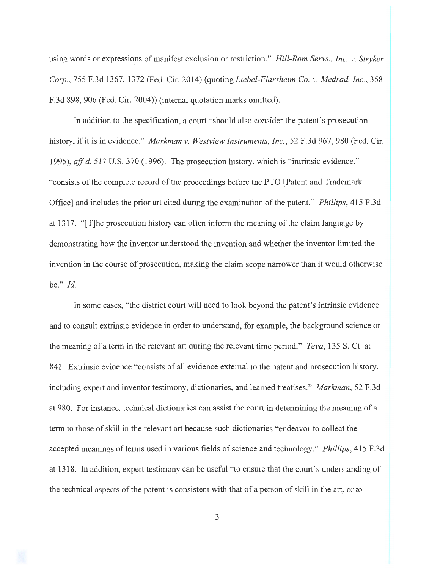using words or expressions of manifest exclusion or restriction." *Hill-Rom Servs. , Inc. v. Stryker Corp. ,* 755 F.3d 1367, 1372 (Fed. Cir. 2014) (quoting *Liebel-Flarsheim Co. v. Medrad, Inc.,* 358 F.3d 898, 906 (Fed. Cir. 2004)) (internal quotation marks omitted).

In addition to the specification, a court "should also consider the patent's prosecution history, if it is in evidence." *Markman v. Westview Instruments, Inc.*, 52 F.3d 967, 980 (Fed. Cir. 1995), *aff'd,* 517 U.S. 370 (1996). The prosecution history, which is "intrinsic evidence," "consists of the complete record of the proceedings before the PTO [Patent and Trademark Office] and includes the prior art cited during the examination of the patent." *Phillips,* 415 F.3d at 1317. "[T]he prosecution history can often inform the meaning of the claim language by demonstrating how the inventor understood the invention and whether the inventor limited the invention in the course of prosecution, making the claim scope narrower than it would otherwise be." *Id.* 

In some cases, "the district court will need to look beyond the patent's intrinsic evidence and to consult extrinsic evidence in order to understand, for example, the background science or the meaning of a term in the relevant art during the relevant time period." *Teva,* 135 S. Ct. at 841. Extrinsic evidence "consists of all evidence external to the patent and prosecution history, including expert and inventor testimony, dictionaries, and learned treatises." *Markman,* 52 F.3d at 980. For instance, technical dictionaries can assist the court in determining the meaning of a term to those of skill in the relevant art because such dictionaries "endeavor to collect the accepted meanings of terms used in various fields of science and technology." *Phillips,* 415 F.3d at 1318. In addition, expert testimony can be useful "to ensure that the court's understanding of the technical aspects of the patent is consistent with that of a person of skill in the art, or to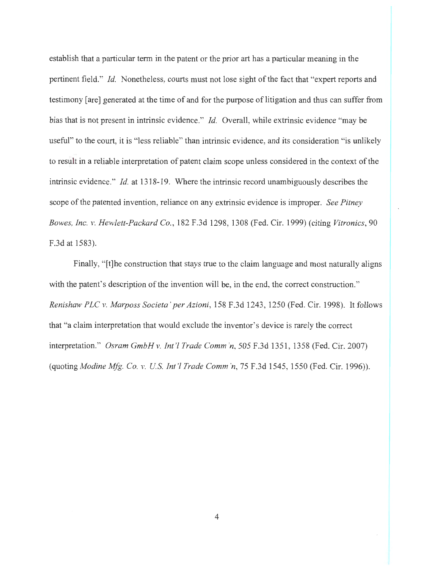establish that a particular term in the patent or the prior art has a particular meaning in the pertinent field." *Id.* Nonetheless, courts must not lose sight of the fact that "expert reports and testimony [are] generated at the time of and for the purpose of litigation and thus can suffer from bias that is not present in intrinsic evidence." *Id.* Overall, while extrinsic evidence "may be useful" to the court, it is "less reliable" than intrinsic evidence, and its consideration "is unlikely to result in a reliable interpretation of patent claim scope unless considered in the context of the intrinsic evidence." *Id.* at 1318-19. Where the intrinsic record unambiguously describes the scope of the patented invention, reliance on any extrinsic evidence is improper. *See Pitney Bowes, Inc. v. Hewlett-Packard Co.,* 182 F.3d 1298, 1308 (Fed. Cir. 1999) (citing *Vitronics,* 90 F.3d at 1583).

Finally, "[t]he construction that stays true to the claim language and most naturally aligns with the patent's description of the invention will be, in the end, the correct construction." *Renishaw PLC v. Marposs Societa 'per Azioni,* 158 F.3d 1243, 1250 (Fed. Cir. 1998). It follows that "a claim interpretation that would exclude the inventor's device is rarely the correct interpretation." *Osram GmbH v. Int '! Trade Comm 'n,* 505 F.3d 1351 , 1358 (Fed. Cir. 2007) (quoting *Modine Mfg. Co. v. U S. Int'! Trade Comm 'n,* 75 F.3d 1545, 1550 (Fed. Cir. 1996)).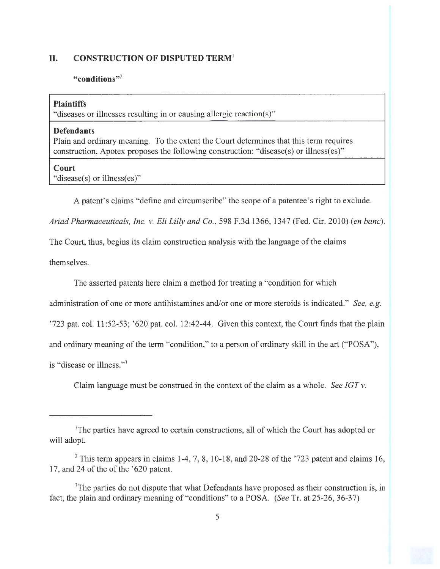### **II. CONSTRUCTION OF DISPUTED TERM<sup>1</sup>**

#### **"conditions"<sup>2</sup>**

#### **Plaintiffs**

"diseases or illnesses resulting in or causing allergic reaction(s)"

### **Defendants**

Plain and ordinary meaning. To the extent the Court determines that this term requires construction, Apotex proposes the following construction: "disease(s) or illness(es)"

#### **Court**

"disease(s) or illness(es)"

A patent's claims "define and circumscribe" the scope of a patentee's right to exclude.

*Ariad Pharmaceuticals, Inc. v. Eli Lilly and Co. ,* 598 F.3d 1366, 1347 (Fed. Cir. 2010) *(en bane).* 

The Court, thus, begins its claim construction analysis with the language of the claims

themselves.

The asserted patents here claim a method for treating a "condition for which

administration of one or more antihistamines and/or one or more steroids is indicated." *See, e.g.* 

 $2723$  pat. col. 11:52-53;  $620$  pat. col. 12:42-44. Given this context, the Court finds that the plain

and ordinary meaning of the term "condition," to a person of ordinary skill in the art ("POSA"),

is "disease or illness."<sup>3</sup>

Claim language must be construed in the context of the claim as a whole. *See !GT v.* 

<sup>&</sup>lt;sup>1</sup>The parties have agreed to certain constructions, all of which the Court has adopted or will adopt.

 $2$ <sup>2</sup> This term appears in claims 1-4, 7, 8, 10-18, and 20-28 of the  $223$  patent and claims 16, 17, and 24 of the of the '620 patent.

<sup>&</sup>lt;sup>3</sup>The parties do not dispute that what Defendants have proposed as their construction is, in fact, the plain and ordinary meaning of "conditions" to a POSA. *(See* Tr. at 25-26, 36-37)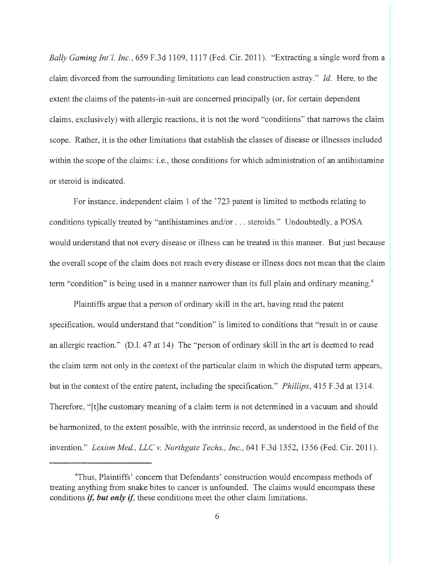*Bally Gaming Int '!, Inc.,* 659 F.3d 1109, 1117 (Fed. Cir. 2011). "Extracting a single word from a claim divorced from the surrounding limitations can lead construction astray." Id. Here, to the extent the claims of the patents-in-suit are concerned principally (or, for certain dependent claims, exclusively) with allergic reactions, it is not the word "conditions" that narrows the claim scope. Rather, it is the other limitations that establish the classes of disease or illnesses included within the scope of the claims: i.e., those conditions for which administration of an antihistamine or steroid is indicated.

For instance, independent claim 1 of the '723 patent is limited to methods relating to conditions typically treated by "antihistamines and/or .. . steroids." Undoubtedly, a POSA would understand that not every disease or illness can be treated in this manner. But just because the overall scope of the claim does not reach every disease or illness does not mean that the claim term "condition" is being used in a manner narrower than its full plain and ordinary meaning.<sup>4</sup>

Plaintiffs argue that a person of ordinary skill in the art, having read the patent specification, would understand that "condition" is limited to conditions that "result in or cause an allergic reaction." (D.I. 47 at 14) The "person of ordinary skill in the art is deemed to read the claim term not only in the context of the particular claim in which the disputed term appears, but in the context of the entire patent, including the specification." *Phillips,* 415 F.3d at 1314. Therefore, "[t]he customary meaning of a claim term is not determined in a vacuum and should be harmonized, to the extent possible, with the intrinsic record, as understood in the field of the invention." *Lexion Med. , LLC v. Northgate Techs., Inc.,* 641 F.3d 1352, 1356 (Fed. Cir. 2011).

<sup>&</sup>lt;sup>4</sup>Thus, Plaintiffs' concern that Defendants' construction would encompass methods of treating anything from snake bites to cancer is unfounded. The claims would encompass these conditions *if, but only if,* these conditions meet the other claim limitations.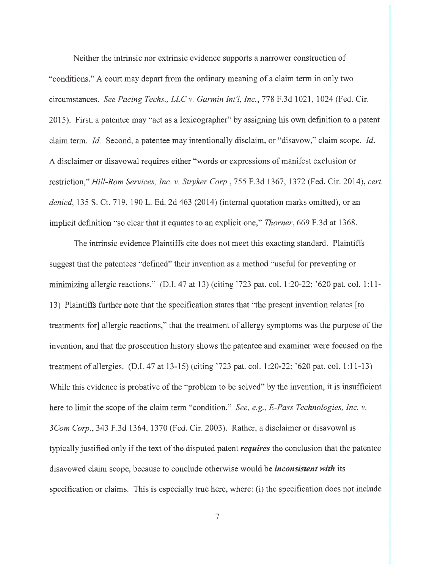Neither the intrinsic nor extrinsic evidence supports a narrower construction of "conditions." A court may depart from the ordinary meaning of a claim term in only two circumstances. *See Pacing Techs. , LLC v. Garmin Int'!, Inc. ,* 778 F.3d 1021 , 1024 (Fed. Cir. 2015). First, a patentee may "act as a lexicographer" by assigning his own definition to a patent claim term. *Id.* Second, a patentee may intentionally disclaim, or "disavow," claim scope. *Id.*  A disclaimer or disavowal requires either "words or expressions of manifest exclusion or restriction," *Hill-Rom Services, Inc. v. Stryker Corp. ,* 755 F.3d 1367, 1372 (Fed. Cir. 2014), *cert. denied,* 135 S. Ct. 719, 190 L. Ed. 2d 463 (2014) (internal quotation marks omitted), or an implicit definition "so clear that it equates to an explicit one," *Thorner,* 669 F.3d at 1368.

The intrinsic evidence Plaintiffs cite does not meet this exacting standard. Plaintiffs suggest that the patentees "defined" their invention as a method "useful for preventing or minimizing allergic reactions." (D.I. 47 at 13) (citing '723 pat. col. 1:20-22; '620 pat. col. 1:11-13) Plaintiffs further note that the specification states that "the present invention relates [to treatments for] allergic reactions," that the treatment of allergy symptoms was the purpose of the invention, and that the prosecution history shows the patentee and examiner were focused on the treatment of allergies. (D.I. 47 at 13-15) (citing '723 pat. col. 1:20-22; '620 pat. col. 1:11-13) While this evidence is probative of the "problem to be solved" by the invention, it is insufficient here to limit the scope of the claim term "condition." *See, e.g., E-Pass Technologies, Inc. v. 3Com Corp. ,* 343 F.3d 1364, 1370 (Fed. Cir. 2003). Rather, a disclaimer or disavowal is typically justified only if the text of the disputed patent *requires* the conclusion that the patentee disavowed claim scope, because to conclude otherwise would be *inconsistent with* its specification or claims. This is especially true here, where: (i) the specification does not include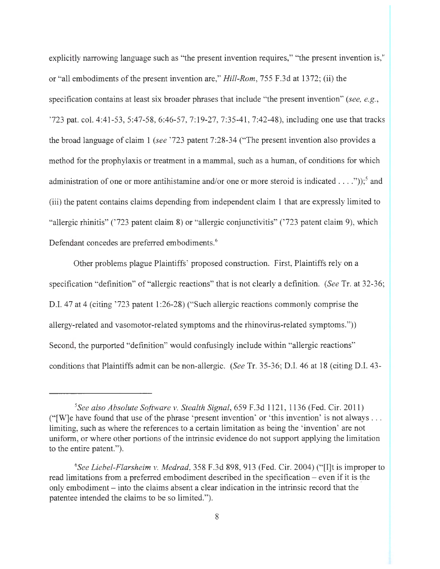explicitly narrowing language such as "the present invention requires," "the present invention is," or "all embodiments of the present invention are," *Hill-Rom,* 755 F.3d at 1372; (ii) the specification contains at least six broader phrases that include "the present invention" *(see, e.g. ,*  '723 pat. col. 4:41-53, 5:47-58, 6:46-57, 7:19-27, 7:35-41 , 7:42-48), including one use that tracks the broad language of claim 1 *(see* ' 723 patent 7:28-34 ("The present invention also provides a method for the prophylaxis or treatment in a mammal, such as a human, of conditions for which administration of one or more antihistamine and/or one or more steroid is indicated . . . ." $\cdot$ "));<sup>5</sup> and (iii) the patent contains claims depending from independent claim 1 that are expressly limited to "allergic rhinitis" ('723 patent claim 8) or "allergic conjunctivitis" ('723 patent claim 9), which Defendant concedes are preferred embodiments.<sup>6</sup>

Other problems plague Plaintiffs' proposed construction. First, Plaintiffs rely on a specification "definition" of "allergic reactions" that is not clearly a definition. *(See* Tr. at 32-36; D.I. 47 at 4 (citing '723 patent 1:26-28) ("Such allergic reactions commonly comprise the allergy-related and vasomotor-related symptoms and the rhinovirus-related symptoms.")) Second, the purported "definition" would confusingly include within "allergic reactions" conditions that Plaintiffs admit can be non-allergic. *(See* Tr. 35-36; D.I. 46 at 18 (citing D.I. 43-

<sup>&</sup>lt;sup>5</sup>See also Absolute Software v. Stealth Signal, 659 F.3d 1121, 1136 (Fed. Cir. 2011) ("[W]e have found that use of the phrase 'present invention' or 'this invention' is not always ... limiting, such as where the references to a certain limitation as being the 'invention' are not uniform, or where other portions of the intrinsic evidence do not support applying the limitation to the entire patent.").

<sup>&</sup>lt;sup>6</sup>See Liebel-Flarsheim v. Medrad, 358 F.3d 898, 913 (Fed. Cir. 2004) ("[I]t is improper to read limitations from a preferred embodiment described in the specification  $-$  even if it is the only embodiment – into the claims absent a clear indication in the intrinsic record that the patentee intended the claims to be so limited.").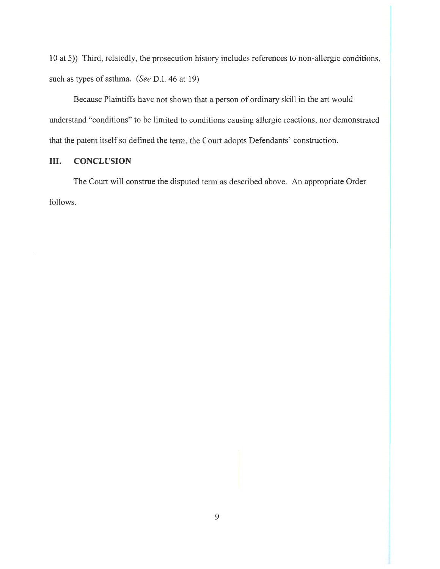10 at 5)) Third, relatedly, the prosecution history includes references to non-allergic conditions, such as types of asthma. *(See D.I. 46 at 19)* 

Because Plaintiffs have not shown that a person of ordinary skill in the art would understand "conditions" to be limited to conditions causing allergic reactions, nor demonstrated that the patent itself so defined the term, the Court adopts Defendants' construction.

## III. **CONCLUSION**

The Court will construe the disputed term as described above. An appropriate Order follows.